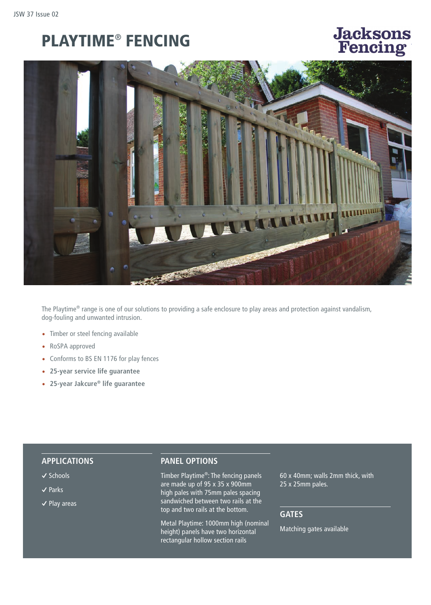# PLAYTIME® FENCING

# **Jacksons** Guaranteed P



The Playtime® range is one of our solutions to providing a safe enclosure to play areas and protection against vandalism, dog-fouling and unwanted intrusion.

- Timber or steel fencing available
- RoSPA approved
- Conforms to BS EN 1176 for play fences
- **25-year service life guarantee**
- **25-year Jakcure® life guarantee**

#### **APPLICATIONS**

- **�** Schools
- **�** Parks
- **�** Play areas

#### **PANEL OPTIONS**

Timber Playtime®: The fencing panels are made up of 95 x 35 x 900mm high pales with 75mm pales spacing sandwiched between two rails at the top and two rails at the bottom.

Metal Playtime: 1000mm high (nominal height) panels have two horizontal rectangular hollow section rails

60 x 40mm; walls 2mm thick, with 25 x 25mm pales.

## **GATES**

Matching gates available